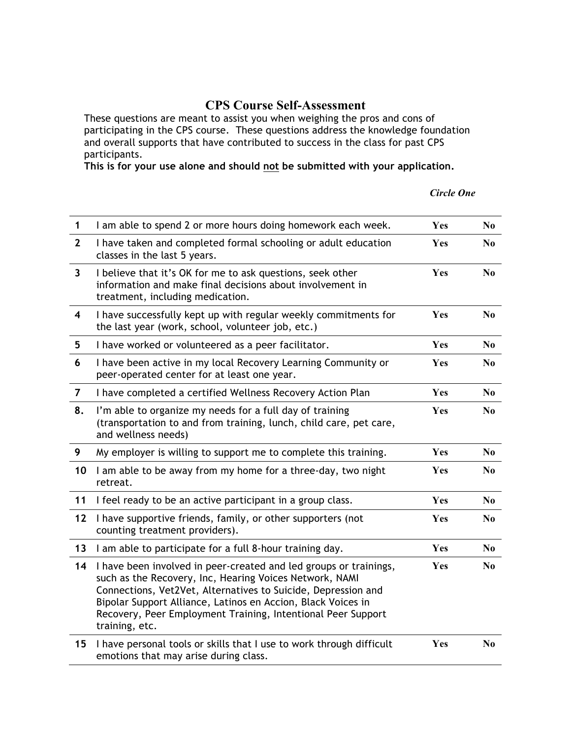## **CPS Course Self-Assessment**

These questions are meant to assist you when weighing the pros and cons of participating in the CPS course. These questions address the knowledge foundation and overall supports that have contributed to success in the class for past CPS participants.

**This is for your use alone and should not be submitted with your application.**

## *Circle One*

| $\mathbf{1}$            | I am able to spend 2 or more hours doing homework each week.                                                                                                                                                                                                                                                                                    | Yes | N <sub>0</sub> |
|-------------------------|-------------------------------------------------------------------------------------------------------------------------------------------------------------------------------------------------------------------------------------------------------------------------------------------------------------------------------------------------|-----|----------------|
| $\mathbf{2}$            | I have taken and completed formal schooling or adult education<br>classes in the last 5 years.                                                                                                                                                                                                                                                  | Yes | N <sub>0</sub> |
| $\overline{\mathbf{3}}$ | I believe that it's OK for me to ask questions, seek other<br>information and make final decisions about involvement in<br>treatment, including medication.                                                                                                                                                                                     | Yes | N <sub>0</sub> |
| $\overline{\mathbf{4}}$ | I have successfully kept up with regular weekly commitments for<br>the last year (work, school, volunteer job, etc.)                                                                                                                                                                                                                            | Yes | N <sub>0</sub> |
| 5                       | I have worked or volunteered as a peer facilitator.                                                                                                                                                                                                                                                                                             | Yes | N <sub>0</sub> |
| 6                       | I have been active in my local Recovery Learning Community or<br>peer-operated center for at least one year.                                                                                                                                                                                                                                    | Yes | N <sub>0</sub> |
| $\overline{7}$          | I have completed a certified Wellness Recovery Action Plan                                                                                                                                                                                                                                                                                      | Yes | No             |
| 8.                      | I'm able to organize my needs for a full day of training<br>(transportation to and from training, lunch, child care, pet care,<br>and wellness needs)                                                                                                                                                                                           | Yes | N <sub>0</sub> |
| 9                       | My employer is willing to support me to complete this training.                                                                                                                                                                                                                                                                                 | Yes | N <sub>0</sub> |
| 10                      | I am able to be away from my home for a three-day, two night<br>retreat.                                                                                                                                                                                                                                                                        | Yes | No.            |
| 11                      | I feel ready to be an active participant in a group class.                                                                                                                                                                                                                                                                                      | Yes | N <sub>0</sub> |
| 12                      | I have supportive friends, family, or other supporters (not<br>counting treatment providers).                                                                                                                                                                                                                                                   | Yes | N <sub>0</sub> |
| 13                      | I am able to participate for a full 8-hour training day.                                                                                                                                                                                                                                                                                        | Yes | N <sub>0</sub> |
| 14                      | I have been involved in peer-created and led groups or trainings,<br>such as the Recovery, Inc, Hearing Voices Network, NAMI<br>Connections, Vet2Vet, Alternatives to Suicide, Depression and<br>Bipolar Support Alliance, Latinos en Accion, Black Voices in<br>Recovery, Peer Employment Training, Intentional Peer Support<br>training, etc. | Yes | N <sub>0</sub> |
| 15                      | I have personal tools or skills that I use to work through difficult<br>emotions that may arise during class.                                                                                                                                                                                                                                   | Yes | No             |